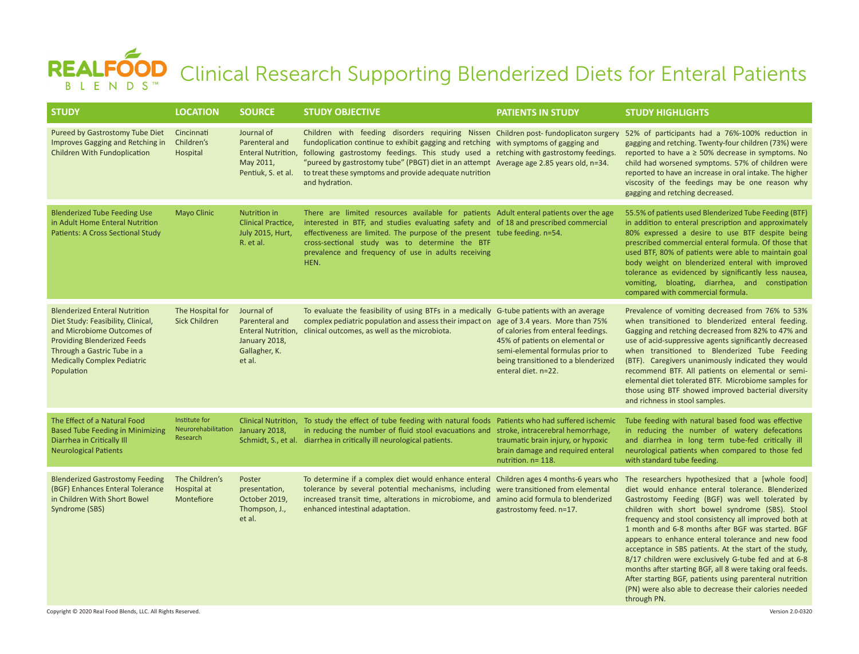## REALFOOD Clinical Research Supporting Blenderized Diets for Enteral Patients

| <b>STUDY</b>                                                                                                                                                                                                                      | <b>LOCATION</b>                                  | <b>SOURCE</b>                                                                                  | <b>STUDY OBJECTIVE</b>                                                                                                                                                                                                                                                                                                                                                                                                                                           | <b>PATIENTS IN STUDY</b>                                                                                                                                                | <b>STUDY HIGHLIGHTS</b>                                                                                                                                                                                                                                                                                                                                                                                                                                                                                                                                                                                                                                                                        |
|-----------------------------------------------------------------------------------------------------------------------------------------------------------------------------------------------------------------------------------|--------------------------------------------------|------------------------------------------------------------------------------------------------|------------------------------------------------------------------------------------------------------------------------------------------------------------------------------------------------------------------------------------------------------------------------------------------------------------------------------------------------------------------------------------------------------------------------------------------------------------------|-------------------------------------------------------------------------------------------------------------------------------------------------------------------------|------------------------------------------------------------------------------------------------------------------------------------------------------------------------------------------------------------------------------------------------------------------------------------------------------------------------------------------------------------------------------------------------------------------------------------------------------------------------------------------------------------------------------------------------------------------------------------------------------------------------------------------------------------------------------------------------|
| Pureed by Gastrostomy Tube Diet<br>Improves Gagging and Retching in<br>Children With Fundoplication                                                                                                                               | Cincinnati<br>Children's<br>Hospital             | Journal of<br>Parenteral and<br>May 2011,<br>Pentiuk, S. et al.                                | Children with feeding disorders requiring Nissen Children post-fundoplicaton surgery<br>fundoplication continue to exhibit gagging and retching with symptoms of gagging and<br>Enteral Nutrition, following gastrostomy feedings. This study used a retching with gastrostomy feedings.<br>"pureed by gastrostomy tube" (PBGT) diet in an attempt Average age 2.85 years old, n=34.<br>to treat these symptoms and provide adequate nutrition<br>and hydration. |                                                                                                                                                                         | 52% of participants had a 76%-100% reduction in<br>gagging and retching. Twenty-four children (73%) were<br>reported to have a $\geq$ 50% decrease in symptoms. No<br>child had worsened symptoms. 57% of children were<br>reported to have an increase in oral intake. The higher<br>viscosity of the feedings may be one reason why<br>gagging and retching decreased.                                                                                                                                                                                                                                                                                                                       |
| <b>Blenderized Tube Feeding Use</b><br>in Adult Home Enteral Nutrition<br>Patients: A Cross Sectional Study                                                                                                                       | <b>Mayo Clinic</b>                               | Nutrition in<br><b>Clinical Practice,</b><br>July 2015, Hurt,<br>R. et al.                     | There are limited resources available for patients Adult enteral patients over the age<br>interested in BTF, and studies evaluating safety and of 18 and prescribed commercial<br>effectiveness are limited. The purpose of the present tube feeding. n=54.<br>cross-sectional study was to determine the BTF<br>prevalence and frequency of use in adults receiving<br>HEN.                                                                                     |                                                                                                                                                                         | 55.5% of patients used Blenderized Tube Feeding (BTF)<br>in addition to enteral prescription and approximately<br>80% expressed a desire to use BTF despite being<br>prescribed commercial enteral formula. Of those that<br>used BTF, 80% of patients were able to maintain goal<br>body weight on blenderized enteral with improved<br>tolerance as evidenced by significantly less nausea,<br>vomiting, bloating, diarrhea, and constipation<br>compared with commercial formula.                                                                                                                                                                                                           |
| <b>Blenderized Enteral Nutrition</b><br>Diet Study: Feasibility, Clinical,<br>and Microbiome Outcomes of<br><b>Providing Blenderized Feeds</b><br>Through a Gastric Tube in a<br><b>Medically Complex Pediatric</b><br>Population | The Hospital for<br><b>Sick Children</b>         | Journal of<br>Parenteral and<br>Enteral Nutrition,<br>January 2018,<br>Gallagher, K.<br>et al. | To evaluate the feasibility of using BTFs in a medically G-tube patients with an average<br>complex pediatric population and assess their impact on age of 3.4 years. More than 75%<br>clinical outcomes, as well as the microbiota.                                                                                                                                                                                                                             | of calories from enteral feedings.<br>45% of patients on elemental or<br>semi-elemental formulas prior to<br>being transitioned to a blenderized<br>enteral diet. n=22. | Prevalence of vomiting decreased from 76% to 53%<br>when transitioned to blenderized enteral feeding.<br>Gagging and retching decreased from 82% to 47% and<br>use of acid-suppressive agents significantly decreased<br>when transitioned to Blenderized Tube Feeding<br>(BTF). Caregivers unanimously indicated they would<br>recommend BTF. All patients on elemental or semi-<br>elemental diet tolerated BTF. Microbiome samples for<br>those using BTF showed improved bacterial diversity<br>and richness in stool samples.                                                                                                                                                             |
| The Effect of a Natural Food<br><b>Based Tube Feeding in Minimizing</b><br>Diarrhea in Critically III<br><b>Neurological Patients</b>                                                                                             | Institute for<br>Neurorehabilitation<br>Research | January 2018,                                                                                  | Clinical Nutrition, To study the effect of tube feeding with natural foods Patients who had suffered ischemic<br>in reducing the number of fluid stool evacuations and stroke, intracerebral hemorrhage,<br>Schmidt, S., et al. diarrhea in critically ill neurological patients.                                                                                                                                                                                | traumatic brain injury, or hypoxic<br>brain damage and required enteral<br>nutrition. $n = 118$ .                                                                       | Tube feeding with natural based food was effective<br>in reducing the number of watery defecations<br>and diarrhea in long term tube-fed critically ill<br>neurological patients when compared to those fed<br>with standard tube feeding.                                                                                                                                                                                                                                                                                                                                                                                                                                                     |
| <b>Blenderized Gastrostomy Feeding</b><br>(BGF) Enhances Enteral Tolerance<br>in Children With Short Bowel<br>Syndrome (SBS)                                                                                                      | The Children's<br>Hospital at<br>Montefiore      | Poster<br>presentation,<br>October 2019,<br>Thompson, J.,<br>et al.                            | To determine if a complex diet would enhance enteral Children ages 4 months-6 years who<br>tolerance by several potential mechanisms, including were transitioned from elemental<br>increased transit time, alterations in microbiome, and amino acid formula to blenderized<br>enhanced intestinal adaptation.                                                                                                                                                  | gastrostomy feed. n=17.                                                                                                                                                 | The researchers hypothesized that a [whole food]<br>diet would enhance enteral tolerance. Blenderized<br>Gastrostomy Feeding (BGF) was well tolerated by<br>children with short bowel syndrome (SBS). Stool<br>frequency and stool consistency all improved both at<br>1 month and 6-8 months after BGF was started. BGF<br>appears to enhance enteral tolerance and new food<br>acceptance in SBS patients. At the start of the study,<br>8/17 children were exclusively G-tube fed and at 6-8<br>months after starting BGF, all 8 were taking oral feeds.<br>After starting BGF, patients using parenteral nutrition<br>(PN) were also able to decrease their calories needed<br>through PN. |